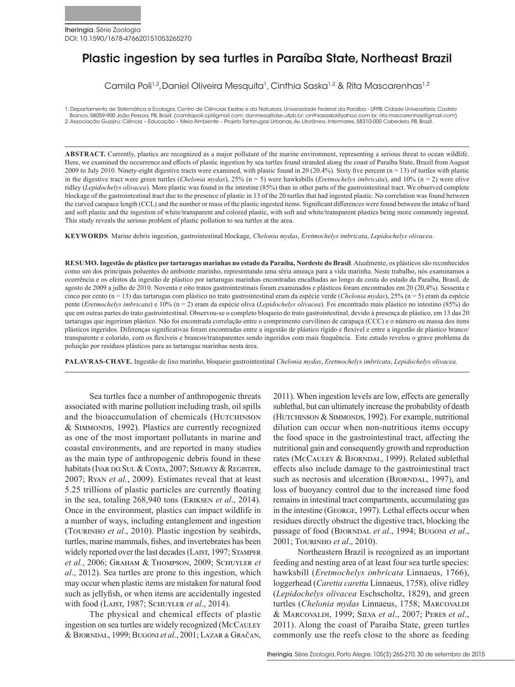# Plastic ingestion by sea turtles in Paraíba State, Northeast Brazil

Camila Poli<sup>1,2</sup>, Daniel Oliveira Mesquita<sup>1</sup>, Cinthia Saska<sup>1,2</sup> & Rita Mascarenhas<sup>1,2</sup>

1. Departamento de Sistemática e Ecologia, Centro de Ciências Exatas e da Natureza, Universidade Federal da Paraíba - UFPB, Cidade Universitária, Castelo Branco, 58059-900 João Pessoa, PB, Brazil. (camilapoli.cp@gmail.com; danmesq@dse.ufpb.br; cinthiasaska@yahoo.com.br; rita.mascarenhas@gmail.com) 2. Associação Guajiru: Ciência – Educação – Meio Ambiente – Projeto Tartarugas Urbanas, Av. Litorânea, Intermares, 58310-000 Cabedelo, PB, Brazil.

**ABSTRACT.** Currently, plastics are recognized as a major pollutant of the marine environment, representing a serious threat to ocean wildlife. Here, we examined the occurrence and effects of plastic ingestion by sea turtles found stranded along the coast of Paraíba State, Brazil from August 2009 to July 2010. Ninety-eight digestive tracts were examined, with plastic found in 20 (20.4%). Sixty five percent  $(n = 13)$  of turtles with plastic in the digestive tract were green turtles (*Chelonia mydas*), 25% (n = 5) were hawksbills (*Eretmochelys imbricata*), and 10% (n = 2) were olive ridley (*Lepidochelys olivacea*). More plastic was found in the intestine (85%) than in other parts of the gastrointestinal tract. We observed complete blockage of the gastrointestinal tract due to the presence of plastic in 13 of the 20 turtles that had ingested plastic. No correlation was found between the curved carapace length (CCL) and the number or mass of the plastic ingested items. Significant differences were found between the intake of hard and soft plastic and the ingestion of white/transparent and colored plastic, with soft and white/transparent plastics being more commonly ingested. This study reveals the serious problem of plastic pollution to sea turtles at the area.

**KEYWORDS***.* Marine debris ingestion, gastrointestinal blockage, *Chelonia mydas*, *Eretmochelys imbricata*, *Lepidochelys olivacea.*

**RESUMO. Ingestão de plástico por tartarugas marinhas no estado da Paraíba, Nordeste do Brasil**. Atualmente, os plásticos são reconhecidos como um dos principais poluentes do ambiente marinho, representando uma séria ameaça para a vida marinha. Neste trabalho, nós examinamos a ocorrência e os efeitos da ingestão de plástico por tartarugas marinhas encontradas encalhadas ao longo da costa do estado da Paraíba, Brasil, de agosto de 2009 a julho de 2010. Noventa e oito tratos gastrointestinais foram examinados e plásticos foram encontrados em 20 (20,4%). Sessenta e cinco por cento (n = 13) das tartarugas com plástico no trato gastrointestinal eram da espécie verde (*Chelonia mydas*), 25% (n = 5) eram da espécie pente (*Eretmochelys imbricata*) e 10% (n = 2) eram da espécie oliva (*Lepidochelys olivacea*). Foi encontrado mais plástico no intestino (85%) do que em outras partes do trato gastrointestinal. Observou-se o completo bloqueio do trato gastrointestinal, devido à presença de plástico, em 13 das 20 tartarugas que ingeriram plástico. Não foi encontrada correlação entre o comprimento curvilíneo de carapaça (CCC) e o número ou massa dos itens plásticos ingeridos. Diferenças significativas foram encontradas entre a ingestão de plástico rígido e flexível e entre a ingestão de plástico branco/ transparente e colorido, com os flexíveis e brancos/transparentes sendo ingeridos com mais frequência. Este estudo revelou o grave problema da poluição por resíduos plásticos para as tartarugas marinhas nesta área.

**PALAVRAS-CHAVE.** Ingestão de lixo marinho, bloqueio gastrointestinal *Chelonia mydas*, *Eretmochelys imbricata*, *Lepidochelys olivacea*.

Sea turtles face a number of anthropogenic threats associated with marine pollution including trash, oil spills and the bioaccumulation of chemicals (HUTCHINSON & Simmonds, 1992). Plastics are currently recognized as one of the most important pollutants in marine and coastal environments, and are reported in many studies as the main type of anthropogenic debris found in these habitats (IVAR DO SUL & COSTA, 2007; SHEAVLY & REGISTER, 2007; Ryan *et al.*, 2009). Estimates reveal that at least 5.25 trillions of plastic particles are currently floating in the sea, totaling 268,940 tons (Eriksen *et al*., 2014). Once in the environment, plastics can impact wildlife in a number of ways, including entanglement and ingestion (Tourinho *et al*., 2010). Plastic ingestion by seabirds, turtles, marine mammals, fishes, and invertebrates has been widely reported over the last decades (LAIST, 1997; STAMPER *et al.*, 2006; Graham & Thompson, 2009; Schuyler *et al*., 2012). Sea turtles are prone to this ingestion, which may occur when plastic items are mistaken for natural food such as jellyfish, or when items are accidentally ingested with food (Laist, 1987; Schuyler *et al*., 2014).

The physical and chemical effects of plastic ingestion on sea turtles are widely recognized (McCauley & Bjorndal, 1999; Bugoni *et al*., 2001; Lazar & Gračan, 2011). When ingestion levels are low, effects are generally sublethal, but can ultimately increase the probability of death (HUTCHINSON & SIMMONDS, 1992). For example, nutritional dilution can occur when non-nutritious items occupy the food space in the gastrointestinal tract, affecting the nutritional gain and consequently growth and reproduction rates (McCAULEY & BJORNDAL, 1999). Related sublethal effects also include damage to the gastrointestinal tract such as necrosis and ulceration (BJORNDAL, 1997), and loss of buoyancy control due to the increased time food remains in intestinal tract compartments, accumulating gas in the intestine (GEORGE, 1997). Lethal effects occur when residues directly obstruct the digestive tract, blocking the passage of food (BJORNDAL et al., 1994; BUGONI et al., 2001; Tourinho *et al*., 2010).

Northeastern Brazil is recognized as an important feeding and nesting area of at least four sea turtle species: hawksbill (*Eretmochelys imbricata* Linnaeus, 1766), loggerhead (*Caretta caretta* Linnaeus, 1758), olive ridley (*Lepidochelys olivacea* Eschscholtz, 1829), and green turtles (*Chelonia mydas* Linnaeus, 1758; MARCOVALDI & Marcovaldi, 1999; Silva *et al*., 2007; Peres *et al*., 2011). Along the coast of Paraíba State, green turtles commonly use the reefs close to the shore as feeding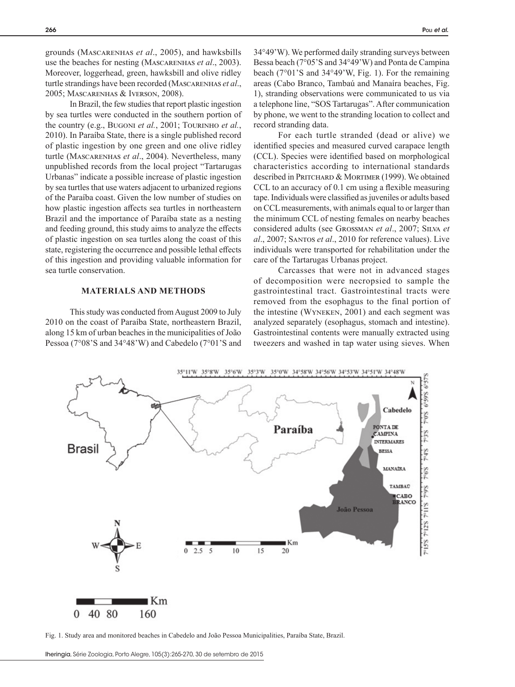grounds (Mascarenhas *et al*., 2005), and hawksbills use the beaches for nesting (Mascarenhas *et al*., 2003). Moreover, loggerhead, green, hawksbill and olive ridley turtle strandings have been recorded (MASCARENHAS et al., 2005; Mascarenhas & Iverson, 2008).

In Brazil, the few studies that report plastic ingestion by sea turtles were conducted in the southern portion of the country (e.g., Bugoni *et al.*, 2001; Tourinho *et al.*, 2010). In Paraíba State, there is a single published record of plastic ingestion by one green and one olive ridley turtle (Mascarenhas *et al*., 2004). Nevertheless, many unpublished records from the local project "Tartarugas Urbanas" indicate a possible increase of plastic ingestion by sea turtles that use waters adjacent to urbanized regions of the Paraíba coast. Given the low number of studies on how plastic ingestion affects sea turtles in northeastern Brazil and the importance of Paraíba state as a nesting and feeding ground, this study aims to analyze the effects of plastic ingestion on sea turtles along the coast of this state, registering the occurrence and possible lethal effects of this ingestion and providing valuable information for sea turtle conservation.

## **MATERIALS AND METHODS**

This study was conducted from August 2009 to July 2010 on the coast of Paraíba State, northeastern Brazil, along 15 km of urban beaches in the municipalities of João Pessoa (7°08'S and 34°48'W) and Cabedelo (7°01'S and

34°49'W). We performed daily stranding surveys between Bessa beach (7°05'S and 34°49'W) and Ponta de Campina beach (7°01'S and 34°49'W, Fig. 1). For the remaining areas (Cabo Branco, Tambaú and Manaíra beaches, Fig. 1), stranding observations were communicated to us via a telephone line, "SOS Tartarugas". After communication by phone, we went to the stranding location to collect and record stranding data.

For each turtle stranded (dead or alive) we identified species and measured curved carapace length (CCL). Species were identified based on morphological characteristics according to international standards described in PRITCHARD & MORTIMER (1999). We obtained CCL to an accuracy of 0.1 cm using a flexible measuring tape. Individuals were classified as juveniles or adults based on CCL measurements, with animals equal to or larger than the minimum CCL of nesting females on nearby beaches considered adults (see Grossman *et al*., 2007; Silva *et al*., 2007; Santos *et al*., 2010 for reference values). Live individuals were transported for rehabilitation under the care of the Tartarugas Urbanas project.

Carcasses that were not in advanced stages of decomposition were necropsied to sample the gastrointestinal tract. Gastrointestinal tracts were removed from the esophagus to the final portion of the intestine (Wyneken, 2001) and each segment was analyzed separately (esophagus, stomach and intestine). Gastrointestinal contents were manually extracted using tweezers and washed in tap water using sieves. When



Fig. 1. Study area and monitored beaches in Cabedelo and João Pessoa Municipalities, Paraíba State, Brazil.

Iheringia, Série Zoologia, Porto Alegre, 105(3):265-270, 30 de setembro de 2015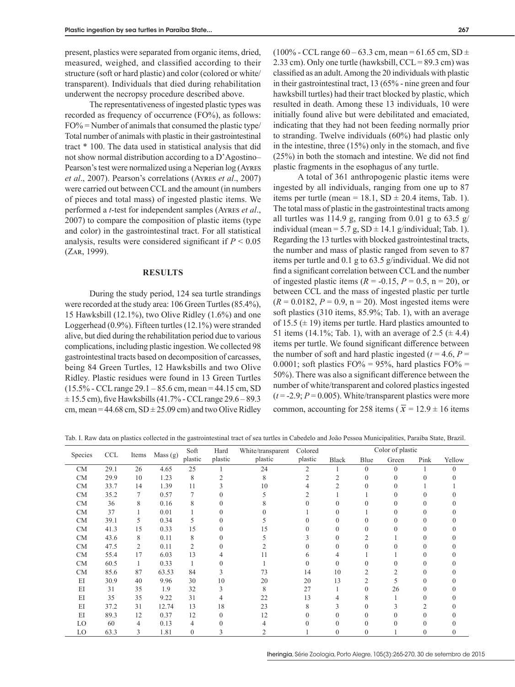present, plastics were separated from organic items, dried, measured, weighed, and classified according to their structure (soft or hard plastic) and color (colored or white/ transparent). Individuals that died during rehabilitation underwent the necropsy procedure described above.

The representativeness of ingested plastic types was recorded as frequency of occurrence (FO%), as follows:  $FO\%$  = Number of animals that consumed the plastic type/ Total number of animals with plastic in their gastrointestinal tract \* 100. The data used in statistical analysis that did not show normal distribution according to a D'Agostino– Pearson's test were normalized using a Neperian log (Ayres *et al*., 2007). Pearson's correlations (Ayres *et al*., 2007) were carried out between CCL and the amount (in numbers of pieces and total mass) of ingested plastic items. We performed a *t*-test for independent samples (Ayres *et al*., 2007) to compare the composition of plastic items (type and color) in the gastrointestinal tract. For all statistical analysis, results were considered significant if *P* < 0.05 (Zar, 1999).

# **RESULTS**

During the study period, 124 sea turtle strandings were recorded at the study area: 106 Green Turtles (85.4%), 15 Hawksbill (12.1%), two Olive Ridley (1.6%) and one Loggerhead (0.9%). Fifteen turtles (12.1%) were stranded alive, but died during the rehabilitation period due to various complications, including plastic ingestion. We collected 98 gastrointestinal tracts based on decomposition of carcasses, being 84 Green Turtles, 12 Hawksbills and two Olive Ridley. Plastic residues were found in 13 Green Turtles (15.5% - CCL range 29.1 – 85.6 cm, mean = 44.15 cm, SD  $\pm$  15.5 cm), five Hawksbills (41.7% - CCL range 29.6 – 89.3 cm, mean =  $44.68$  cm,  $SD \pm 25.09$  cm) and two Olive Ridley

 $(100\% - CCL$  range  $60 - 63.3$  cm, mean = 61.65 cm, SD  $\pm$ 2.33 cm). Only one turtle (hawksbill,  $CCL = 89.3$  cm) was classified as an adult. Among the 20 individuals with plastic in their gastrointestinal tract, 13 (65% - nine green and four hawksbill turtles) had their tract blocked by plastic, which resulted in death. Among these 13 individuals, 10 were initially found alive but were debilitated and emaciated, indicating that they had not been feeding normally prior to stranding. Twelve individuals (60%) had plastic only in the intestine, three (15%) only in the stomach, and five (25%) in both the stomach and intestine. We did not find plastic fragments in the esophagus of any turtle.

A total of 361 anthropogenic plastic items were ingested by all individuals, ranging from one up to 87 items per turtle (mean = 18.1,  $SD \pm 20.4$  items, Tab. 1). The total mass of plastic in the gastrointestinal tracts among all turtles was 114.9 g, ranging from 0.01 g to 63.5 g/ individual (mean = 5.7 g,  $SD \pm 14.1$  g/individual; Tab. 1). Regarding the 13 turtles with blocked gastrointestinal tracts, the number and mass of plastic ranged from seven to 87 items per turtle and 0.1 g to 63.5 g/individual. We did not find a significant correlation between CCL and the number of ingested plastic items  $(R = -0.15, P = 0.5, n = 20)$ , or between CCL and the mass of ingested plastic per turtle  $(R = 0.0182, P = 0.9, n = 20)$ . Most ingested items were soft plastics (310 items, 85.9%; Tab. 1), with an average of 15.5 ( $\pm$  19) items per turtle. Hard plastics amounted to 51 items (14.1%; Tab. 1), with an average of 2.5  $(\pm 4.4)$ items per turtle. We found significant difference between the number of soft and hard plastic ingested ( $t = 4.6$ ,  $P =$ 0.0001; soft plastics  $FO\% = 95\%$ , hard plastics  $FO\% =$ 50%). There was also a significant difference between the number of white/transparent and colored plastics ingested  $(t = -2.9; P = 0.005)$ . White/transparent plastics were more common, accounting for 258 items ( $\bar{x}$  = 12.9 ± 16 items

Tab. I. Raw data on plastics collected in the gastrointestinal tract of sea turtles in Cabedelo and João Pessoa Municipalities, Paraíba State, Brazil.

| Species   | <b>CCL</b> | Items | Mass (g) | Soft           | Hard    | White/transparent | Colored        | Color of plastic |                |          |      |        |  |
|-----------|------------|-------|----------|----------------|---------|-------------------|----------------|------------------|----------------|----------|------|--------|--|
|           |            |       |          | plastic        | plastic | plastic           | plastic        | Black            | Blue           | Green    | Pink | Yellow |  |
| CM        | 29.1       | 26    | 4.65     | 25             |         | 24                | $\overline{c}$ |                  | $\overline{0}$ | $\theta$ |      | 0      |  |
| CM        | 29.9       | 10    | 1.23     | 8              |         | 8                 |                |                  |                |          |      |        |  |
| CM        | 33.7       | 14    | 1.39     | 11             |         | 10                |                |                  |                |          |      |        |  |
| CM        | 35.2       | 7     | 0.57     |                |         |                   |                |                  |                |          |      |        |  |
| <b>CM</b> | 36         | 8     | 0.16     | 8              |         |                   |                |                  |                |          |      |        |  |
| CM        | 37         |       | 0.01     |                |         |                   |                |                  |                |          |      |        |  |
| CM        | 39.1       | 5     | 0.34     | 5              |         |                   |                |                  |                |          |      |        |  |
| CM        | 41.3       | 15    | 0.33     | 15             |         | 15                |                |                  |                |          |      |        |  |
| <b>CM</b> | 43.6       | 8     | 0.11     | 8              |         |                   |                |                  |                |          |      |        |  |
| <b>CM</b> | 47.5       | 2     | 0.11     | $\overline{c}$ |         |                   |                | $\Omega$         |                |          |      |        |  |
| <b>CM</b> | 55.4       | 17    | 6.03     | 13             |         | 11                |                |                  |                |          |      |        |  |
| <b>CM</b> | 60.5       | 1     | 0.33     |                |         |                   |                |                  |                |          |      |        |  |
| <b>CM</b> | 85.6       | 87    | 63.53    | 84             |         | 73                | 14             | 10               |                |          |      |        |  |
| EI        | 30.9       | 40    | 9.96     | 30             | 10      | 20                | 20             | 13               |                |          |      |        |  |
| EI        | 31         | 35    | 1.9      | 32             |         | 8                 | 27             |                  |                | 26       |      |        |  |
| EI        | 35         | 35    | 9.22     | 31             |         | 22                | 13             |                  |                |          |      |        |  |
| EI        | 37.2       | 31    | 12.74    | 13             | 18      | 23                | 8              |                  |                |          |      |        |  |
| EI        | 89.3       | 12    | 0.37     | 12             | 0       | 12                |                |                  |                |          |      |        |  |
| LO        | 60         | 4     | 0.13     | 4              |         |                   |                |                  |                |          |      |        |  |
| LO        | 63.3       | 3     | 1.81     | 0              |         |                   |                |                  | $\Omega$       |          |      |        |  |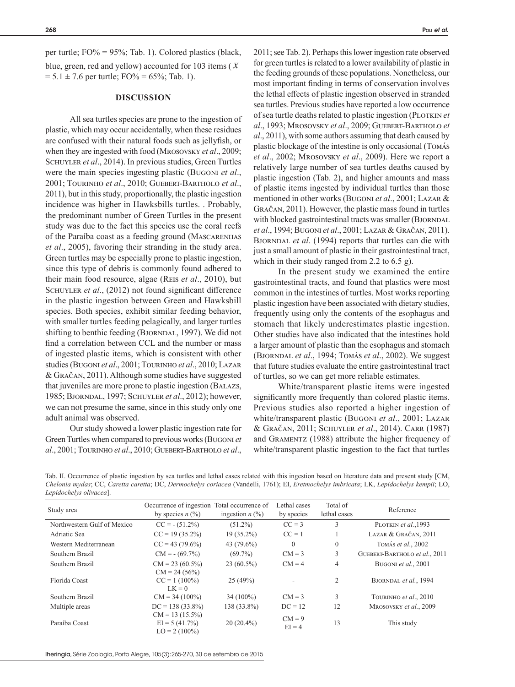per turtle;  $FO% = 95%$ ; Tab. 1). Colored plastics (black, blue, green, red and yellow) accounted for 103 items ( $\bar{x}$ )  $= 5.1 \pm 7.6$  per turtle; FO% = 65%; Tab. 1).

### **DISCUSSION**

All sea turtles species are prone to the ingestion of plastic, which may occur accidentally, when these residues are confused with their natural foods such as jellyfish, or when they are ingested with food (Mrosovsky *et al*., 2009; Schuyler *et al*., 2014). In previous studies, Green Turtles were the main species ingesting plastic (Bugoni *et al*., 2001; Tourinho *et al*., 2010; Guebert-Bartholo *et al*., 2011), but in this study, proportionally, the plastic ingestion incidence was higher in Hawksbills turtles. . Probably, the predominant number of Green Turtles in the present study was due to the fact this species use the coral reefs of the Paraíba coast as a feeding ground (Mascarenhas *et al*., 2005), favoring their stranding in the study area. Green turtles may be especially prone to plastic ingestion, since this type of debris is commonly found adhered to their main food resource, algae (Reis *et al*., 2010), but SCHUYLER *et al.*, (2012) not found significant difference in the plastic ingestion between Green and Hawksbill species. Both species, exhibit similar feeding behavior, with smaller turtles feeding pelagically, and larger turtles shifting to benthic feeding (BJORNDAL, 1997). We did not find a correlation between CCL and the number or mass of ingested plastic items, which is consistent with other studies (Bugoni *et al*., 2001; Tourinho *et al*., 2010; Lazar & Gračan, 2011). Although some studies have suggested that juveniles are more prone to plastic ingestion (Balazs, 1985; Bjorndal, 1997; Schuyler *et al*., 2012); however, we can not presume the same, since in this study only one adult animal was observed.

Our study showed a lower plastic ingestion rate for Green Turtles when compared to previous works (Bugoni *et al*., 2001; Tourinho *et al*., 2010; Guebert-Bartholo *et al*.,

2011; see Tab. 2). Perhaps this lower ingestion rate observed for green turtles is related to a lower availability of plastic in the feeding grounds of these populations. Nonetheless, our most important finding in terms of conservation involves the lethal effects of plastic ingestion observed in stranded sea turtles. Previous studies have reported a low occurrence of sea turtle deaths related to plastic ingestion (PLOTKIN et *al*., 1993; Mrosovsky *et al*., 2009; Guebert-Bartholo *et al*., 2011), with some authors assuming that death caused by plastic blockage of the intestine is only occasional (Tomás *et al*., 2002; Mrosovsky *et al*., 2009). Here we report a relatively large number of sea turtles deaths caused by plastic ingestion (Tab. 2), and higher amounts and mass of plastic items ingested by individual turtles than those mentioned in other works (Bugoni *et al*., 2001; Lazar & Gračan, 2011). However, the plastic mass found in turtles with blocked gastrointestinal tracts was smaller (BJORNDAL *et al*., 1994; Bugoni *et al*., 2001; Lazar & Gračan, 2011). BJORNDAL *et al.* (1994) reports that turtles can die with just a small amount of plastic in their gastrointestinal tract, which in their study ranged from 2.2 to 6.5 g).

In the present study we examined the entire gastrointestinal tracts, and found that plastics were most common in the intestines of turtles. Most works reporting plastic ingestion have been associated with dietary studies, frequently using only the contents of the esophagus and stomach that likely underestimates plastic ingestion. Other studies have also indicated that the intestines hold a larger amount of plastic than the esophagus and stomach (Bjorndal *et al*., 1994; Tomás *et al*., 2002). We suggest that future studies evaluate the entire gastrointestinal tract of turtles, so we can get more reliable estimates.

White/transparent plastic items were ingested significantly more frequently than colored plastic items. Previous studies also reported a higher ingestion of white/transparent plastic (Bugoni *et al*., 2001; Lazar & Gračan, 2011; Schuyler *et al*., 2014). Carr (1987) and Gramentz (1988) attribute the higher frequency of white/transparent plastic ingestion to the fact that turtles

Tab. II. Occurrence of plastic ingestion by sea turtles and lethal cases related with this ingestion based on literature data and present study [CM, *Chelonia mydas*; CC, *Caretta caretta*; DC, *Dermochelys coriacea* (Vandelli, 1761); EI, *Eretmochelys imbricata*; LK, *Lepidochelys kempii*; LO, *Lepidochelys olivacea*].

| Study area                  | Occurrence of ingestion Total occurrence of<br>by species $n$ (%) | ingestion $n$ (%) | Lethal cases<br>by species | Total of<br>lethal cases | Reference                     |  |
|-----------------------------|-------------------------------------------------------------------|-------------------|----------------------------|--------------------------|-------------------------------|--|
| Northwestern Gulf of Mexico | $CC = -(51.2\%)$                                                  | $(51.2\%)$        | $CC = 3$                   | 3                        | PLOTKIN et al., 1993          |  |
| Adriatic Sea                | $CC = 19(35.2\%)$                                                 | $19(35.2\%)$      | $CC = 1$                   |                          | LAZAR & GRAČAN, 2011          |  |
| Western Mediterranean       | $CC = 43 (79.6\%)$                                                | 43 (79.6%)        | $\theta$                   | $\mathbf{0}$             | TOMÁS et al., 2002            |  |
| Southern Brazil             | $CM = -(69.7\%)$                                                  | $(69.7\%)$        | $CM = 3$                   | 3                        | GUEBERT-BARTHOLO et al., 2011 |  |
| Southern Brazil             | $CM = 23 (60.5\%)$<br>$CM = 24 (56%)$                             | $23(60.5\%)$      | $CM = 4$                   | $\overline{4}$           | BUGONI et al., 2001           |  |
| Florida Coast               | $CC = 1 (100\%)$<br>$LK = 0$                                      | 25(49%)           | ٠                          | 2                        | BJORNDAL et al., 1994         |  |
| Southern Brazil             | $CM = 34 (100\%)$                                                 | $34(100\%)$       | $CM = 3$                   | 3                        | TOURINHO et al., 2010         |  |
| Multiple areas              | $DC = 138(33.8\%)$                                                | 138 (33.8%)       | $DC = 12$                  | 12                       | MROSOVSKY et al., 2009        |  |
| Paraíba Coast               | $CM = 13(15.5\%)$<br>$EI = 5(41.7%)$<br>$LO = 2(100\%)$           | $20(20.4\%)$      | $CM = 9$<br>$EI = 4$       | 13                       | This study                    |  |

Iheringia, Série Zoologia, Porto Alegre, 105(3):265-270, 30 de setembro de 2015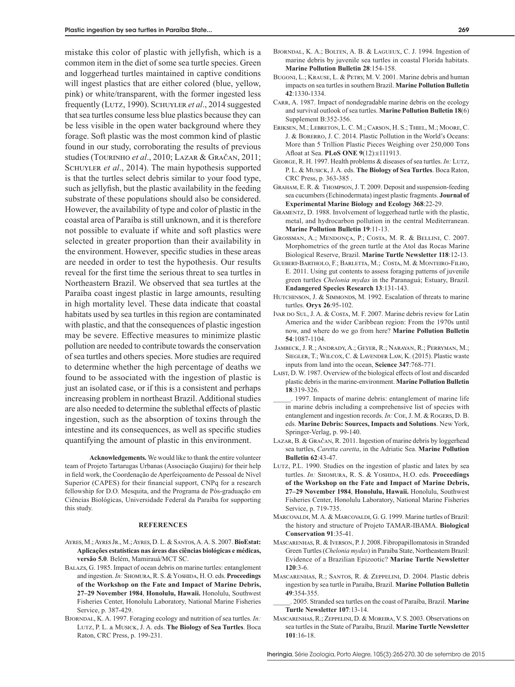mistake this color of plastic with jellyfish, which is a common item in the diet of some sea turtle species. Green and loggerhead turtles maintained in captive conditions will ingest plastics that are either colored (blue, yellow, pink) or white/transparent, with the former ingested less frequently (Lutz, 1990). Schuyler *et al*., 2014 suggested that sea turtles consume less blue plastics because they can be less visible in the open water background where they forage. Soft plastic was the most common kind of plastic found in our study, corroborating the results of previous studies (Tourinho *et al*., 2010; Lazar & Gračan, 2011; SCHUYLER *et al.*, 2014). The main hypothesis supported is that the turtles select debris similar to your food type, such as jellyfish, but the plastic availability in the feeding substrate of these populations should also be considered. However, the availability of type and color of plastic in the coastal area of Paraíba is still unknown, and it is therefore not possible to evaluate if white and soft plastics were selected in greater proportion than their availability in the environment. However, specific studies in these areas are needed in order to test the hypothesis. Our results reveal for the first time the serious threat to sea turtles in Northeastern Brazil. We observed that sea turtles at the Paraíba coast ingest plastic in large amounts, resulting in high mortality level. These data indicate that coastal habitats used by sea turtles in this region are contaminated with plastic, and that the consequences of plastic ingestion may be severe. Effective measures to minimize plastic pollution are needed to contribute towards the conservation of sea turtles and others species. More studies are required to determine whether the high percentage of deaths we found to be associated with the ingestion of plastic is just an isolated case, or if this is a consistent and perhaps increasing problem in northeast Brazil. Additional studies are also needed to determine the sublethal effects of plastic ingestion, such as the absorption of toxins through the intestine and its consequences, as well as specific studies quantifying the amount of plastic in this environment.

**Acknowledgements.** We would like to thank the entire volunteer team of Projeto Tartarugas Urbanas (Associação Guajiru) for their help in field work, the Coordenação de Aperfeiçoamento de Pessoal de Nível Superior (CAPES) for their financial support, CNPq for a research fellowship for D.O. Mesquita, and the Programa de Pós-graduação em Ciências Biológicas, Universidade Federal da Paraíba for supporting this study.

#### **REFERENCES**

- Ayres, M.; Ayres Jr., M.; Ayres, D. L. & Santos, A. A. S. 2007. **BioEstat: Aplicações estatísticas nas áreas das ciências biológicas e médicas, versão 5.0**. Belém, Mamirauá/MCT SC.
- Balazs, G. 1985. Impact of ocean debris on marine turtles: entanglement and ingestion. *In:* SHOMURA, R. S. & YOSHIDA, H. O. eds. Proceedings **of the Workshop on the Fate and Impact of Marine Debris, 27–29 November 1984**, **Honolulu, Hawaii.** Honolulu, Southwest Fisheries Center, Honolulu Laboratory, National Marine Fisheries Service, p. 387-429.
- BJORNDAL, K. A. 1997. Foraging ecology and nutrition of sea turtles. *In*: Lutz, P. L. & Musick, J. A. eds. **The Biology of Sea Turtles**. Boca Raton, CRC Press, p. 199-231.
- Bjorndal, K. A.; Bolten, A. B. & Lagueux, C. J. 1994. Ingestion of marine debris by juvenile sea turtles in coastal Florida habitats. **Marine Pollution Bulletin 28**:154-158.
- BUGONI, L.; KRAUSE, L. & PETRY, M. V. 2001. Marine debris and human impacts on sea turtles in southern Brazil. **Marine Pollution Bulletin 42**:1330-1334.
- CARR, A. 1987. Impact of nondegradable marine debris on the ecology and survival outlook of sea turtles. **Marine Pollution Bulletin 18**(6) Supplement B:352-356.
- Eriksen, M.; Lebreton, L. C. M.; Carson, H. S.; Thiel, M.; Moore, C. J. & Borerro, J. C. 2014. Plastic Pollution in the World's Oceans: More than 5 Trillion Plastic Pieces Weighing over 250,000 Tons Afloat at Sea. **PLoS ONE 9**(12):e111913.
- George, R. H. 1997. Health problems & diseases of sea turtles. *In:* Lutz, P. L. & Musick, J. A. eds. **The Biology of Sea Turtles**. Boca Raton, CRC Press, p. 363-385 .
- Graham, E. R. & Thompson, J. T. 2009. Deposit and suspension-feeding sea cucumbers (Echinodermata) ingest plastic fragments. **Journal of Experimental Marine Biology and Ecology 368**:22-29.
- Gramentz, D. 1988. Involvement of loggerhead turtle with the plastic, metal, and hydrocarbon pollution in the central Mediterranean. **Marine Pollution Bulletin 19**:11-13.
- Grossman, A.; Mendonça, P.; Costa, M. R. & Bellini, C. 2007. Morphometrics of the green turtle at the Atol das Rocas Marine Biological Reserve, Brazil. **Marine Turtle Newsletter 118**:12-13.
- Guebert-Bartholo, F.; Barletta, M.; Costa, M. & Monteiro-Filho, E. 2011. Using gut contents to assess foraging patterns of juvenile green turtles *Chelonia mydas* in the Paranaguá; Estuary, Brazil. **Endangered Species Research 13**:131-143.
- HUTCHINSON, J. & SIMMONDS, M. 1992. Escalation of threats to marine turtles. **Oryx 26**:95-102.
- IVAR DO SUL, J. A. & COSTA, M. F. 2007. Marine debris review for Latin America and the wider Caribbean region: From the 1970s until now, and where do we go from here? **Marine Pollution Bulletin 54**:1087-1104.
- Jambeck, J. R.; Andrady, A.; Geyer, R.; Narayan, R.; Perryman, M.; Siegler, T.; Wilcox, C. & Lavender Law, K. (2015). Plastic waste inputs from land into the ocean, **Science 347**:768-771.
- Laist, D. W. 1987. Overview of the biological effects of lost and discarded plastic debris in the marine-environment. **Marine Pollution Bulletin 18**:319-326.
- \_\_\_\_\_. 1997. Impacts of marine debris: entanglement of marine life in marine debris including a comprehensive list of species with entanglement and ingestion records. *In:* Coe, J. M. & Rogers, D. B. eds. **Marine Debris: Sources, Impacts and Solutions**. New York, Springer-Verlag, p. 99-140.
- Lazar, B. & Gračan, R. 2011. Ingestion of marine debris by loggerhead sea turtles, *Caretta caretta*, in the Adriatic Sea. **Marine Pollution Bulletin 62**:43-47.
- LUTZ, P.L. 1990. Studies on the ingestion of plastic and latex by sea turtles. *In:* SHOMURA, R. S. & YOSHIDA, H.O. eds. **Proceedings of the Workshop on the Fate and Impact of Marine Debris, 27–29 November 1984**, **Honolulu, Hawaii.** Honolulu, Southwest Fisheries Center, Honolulu Laboratory, National Marine Fisheries Service, p. 719-735.
- MARCOVALDI, M. A. & MARCOVALDI, G. G. 1999. Marine turtles of Brazil: the history and structure of Projeto TAMAR-IBAMA. **Biological Conservation 91**:35-41.
- Mascarenhas, R. & Iverson, P. J. 2008. Fibropapillomatosis in Stranded Green Turtles (*Chelonia mydas*) in Paraiba State, Northeastern Brazil: Evidence of a Brazilian Epizootic? **Marine Turtle Newsletter 120**:3-6.
- Mascarenhas, R.; Santos, R. & Zeppelini, D. 2004. Plastic debris ingestion by sea turtle in Paraíba, Brazil. **Marine Pollution Bulletin 49**:354-355.
- \_\_\_\_\_. 2005. Stranded sea turtles on the coast of Paraíba, Brazil. **Marine Turtle Newsletter 107**:13-14.
- Mascarenhas, R.; Zeppelini, D. & Moreira, V. S. 2003. Observations on sea turtles in the State of Paraíba, Brazil. **Marine Turtle Newsletter 101**:16-18.